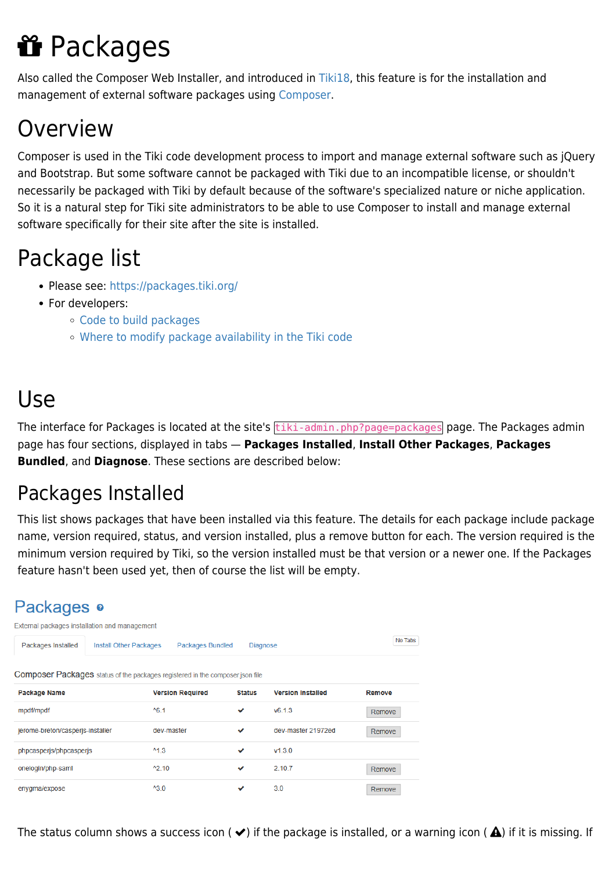# **if** Packages

Also called the Composer Web Installer, and introduced in [Tiki18](https://doc.tiki.org/Tiki18), this feature is for the installation and management of external software packages using [Composer.](https://doc.tiki.org/Composer)

## Overview

Composer is used in the Tiki code development process to import and manage external software such as jQuery and Bootstrap. But some software cannot be packaged with Tiki due to an incompatible license, or shouldn't necessarily be packaged with Tiki by default because of the software's specialized nature or niche application. So it is a natural step for Tiki site administrators to be able to use Composer to install and manage external software specifically for their site after the site is installed.

## Package list

- Please see:<https://packages.tiki.org/>
- For developers:
	- [Code to build packages](https://gitlab.com/tikiwiki/tiki-packages-build)
	- [Where to modify package availability in the Tiki code](https://gitlab.com/tikiwiki/tiki/-/blob/master/lib/core/Tiki/Package/ComposerPackages.yml)

## Use

The interface for Packages is located at the site's tiki-admin.php?page=packages page. The Packages admin page has four sections, displayed in tabs — **Packages Installed**, **Install Other Packages**, **Packages Bundled**, and **Diagnose**. These sections are described below:

## Packages Installed

This list shows packages that have been installed via this feature. The details for each package include package name, version required, status, and version installed, plus a remove button for each. The version required is the minimum version required by Tiki, so the version installed must be that version or a newer one. If the Packages feature hasn't been used yet, then of course the list will be empty.

### Packages o

| External packages installation and management |                                                                      |                                                                                      |               |                          |         |  |
|-----------------------------------------------|----------------------------------------------------------------------|--------------------------------------------------------------------------------------|---------------|--------------------------|---------|--|
| Packages Installed                            | <b>Packages Bundled</b><br>Install Other Packages<br><b>Diagnose</b> |                                                                                      |               |                          | No Tabs |  |
|                                               |                                                                      | <b>Composer Packages</b> status of the packages registered in the composer json file |               |                          |         |  |
| Package Name                                  |                                                                      | <b>Version Required</b>                                                              | <b>Status</b> | <b>Version Installed</b> | Remove  |  |
| mpdf/mpdf                                     |                                                                      | $^{46.1}$                                                                            | ✓             | V6.1.3                   | Remove  |  |
| jerome-breton/casperis-installer              |                                                                      | dev-master                                                                           | ✔             | dev-master 21972ed       | Remove  |  |
| phpcasperjs/phpcasperjs                       |                                                                      | $^{\prime}$ <sup>1.3</sup>                                                           | ✓             | V1.3.0                   |         |  |
| onelogin/php-saml                             |                                                                      | $^42.10$                                                                             | ✓             | 2.10.7                   | Remove  |  |
| enygma/expose                                 |                                                                      | $^{\prime}3.0$                                                                       | ັ             | 3.0                      | Remove  |  |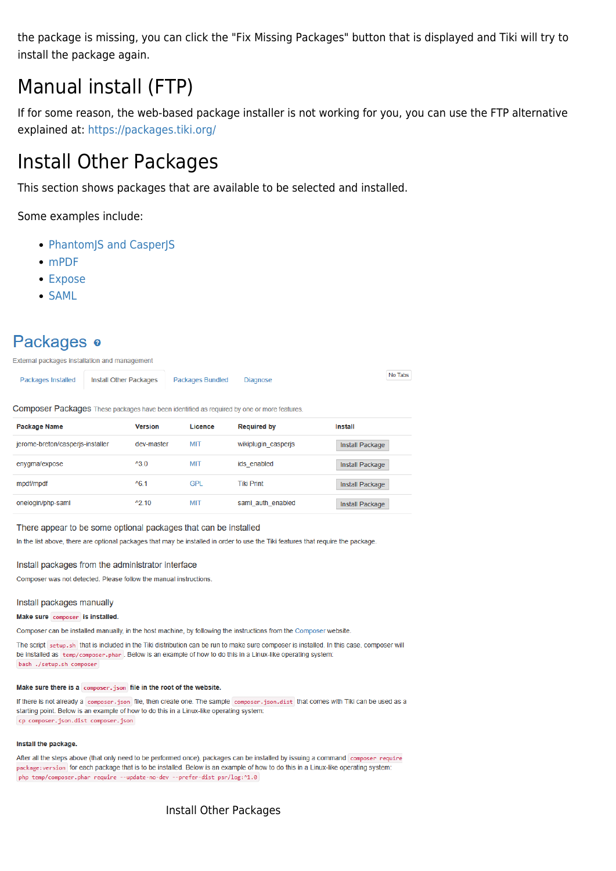the package is missing, you can click the "Fix Missing Packages" button that is displayed and Tiki will try to install the package again.

### Manual install (FTP)

If for some reason, the web-based package installer is not working for you, you can use the FTP alternative explained at:<https://packages.tiki.org/>

### Install Other Packages

This section shows packages that are available to be selected and installed.

Some examples include:

- [PhantomJS and CasperJS](https://doc.tiki.org/PhantomJS-and-CasperJS)
- [mPDF](https://doc.tiki.org/mPDF)
- [Expose](https://doc.tiki.org/Expose)
- [SAML](https://doc.tiki.org/SAML)

### Packages o

|  | Packages Installed   Install Other Packages   Packages Bundled Diagnose |  |  | No Tabs |
|--|-------------------------------------------------------------------------|--|--|---------|
|--|-------------------------------------------------------------------------|--|--|---------|

Composer Packages These packages have been identified as required by one or more features

| Package Name                     | <b>Version</b>  | Licence    | <b>Required by</b>  | Install                |
|----------------------------------|-----------------|------------|---------------------|------------------------|
| jerome-breton/casperjs-installer | dev-master      | <b>MIT</b> | wikiplugin casperjs | <b>Install Package</b> |
| enygma/expose                    | $^{\prime}3.0$  | <b>MIT</b> | ids enabled         | <b>Install Package</b> |
| mpdf/mpdf                        | $^{\prime}6.1$  | <b>GPL</b> | <b>Tiki Print</b>   | <b>Install Package</b> |
| onelogin/php-saml                | $^{\prime}2.10$ | <b>MIT</b> | saml auth enabled   | <b>Install Package</b> |

#### There appear to be some optional packages that can be installed

In the list above, there are optional packages that may be installed in order to use the Tiki features that require the package.

#### Install packages from the administrator interface

Composer was not detected. Please follow the manual instructions

#### Install packages manually

#### Make sure composer is installed.

Composer can be installed manually, in the host machine, by following the instructions from the Composer website

The script setup.sh that is included in the Tiki distribution can be run to make sure composer is installed. In this case, composer will be installed as temp/composer.phar. Below is an example of how to do this in a Linux-like operating system bash ./setup.sh composer

#### Make sure there is a composer. json file in the root of the website.

If there is not already a composer, json file, then create one. The sample composer, json, dist that comes with Tiki can be used as a starting point. Below is an example of how to do this in a Linux-like operating system. cp composer.json.dist composer.json

#### Install the package.

After all the steps above (that only need to be performed once), packages can be installed by issuing a command composer require package: version for each package that is to be installed. Below is an example of how to do this in a Linux-like operating system: php temp/composer.phar require --update-no-dev --prefer-dist psr/log:^1.0

### Install Other Packages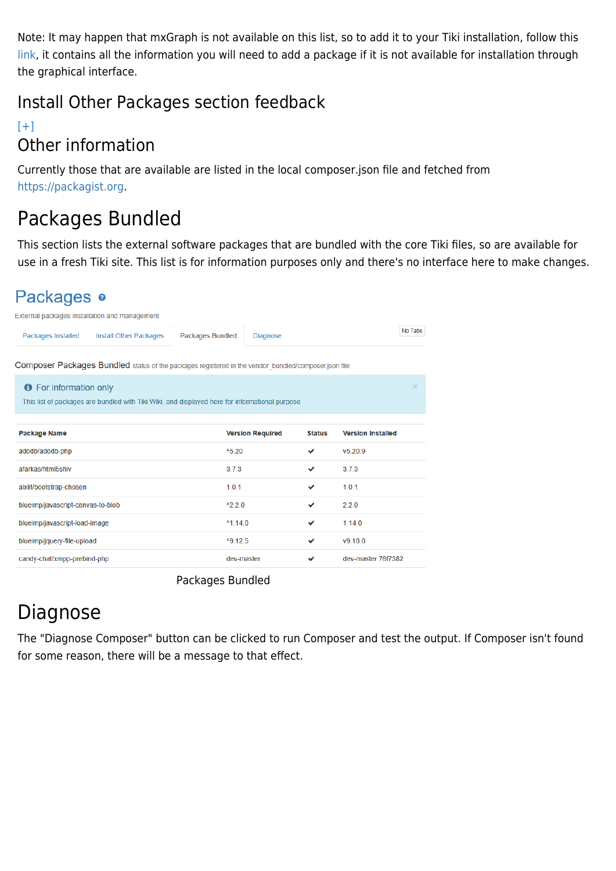Note: It may happen that mxGraph is not available on this list, so to add it to your Tiki installation, follow this [link,](https://packages.tiki.org/) it contains all the information you will need to add a package if it is not available for installation through the graphical interface.

### Install Other Packages section feedback

### $[+]$ Other information

Currently those that are available are listed in the local composer.json file and fetched from [https://packagist.org.](https://packagist.org)

## Packages Bundled

This section lists the external software packages that are bundled with the core Tiki files, so are available for use in a fresh Tiki site. This list is for information purposes only and there's no interface here to make changes.

### Packages o

| External packages installation and management |                                                                                                      |                         |                         |               |                          |         |
|-----------------------------------------------|------------------------------------------------------------------------------------------------------|-------------------------|-------------------------|---------------|--------------------------|---------|
| Packages Installed                            | <b>Install Other Packages</b>                                                                        | <b>Packages Bundled</b> | Diagnose                |               |                          | No Tabs |
|                                               | Composer Packages Bundled status of the packages registered in the vendor bundled/composer.json file |                         |                         |               |                          |         |
| <b>O</b> For information only                 |                                                                                                      |                         |                         |               |                          |         |
|                                               | This list of packages are bundled with Tiki Wiki, and displayed here for informational purpose       |                         |                         |               |                          |         |
|                                               |                                                                                                      |                         |                         |               |                          |         |
| Package Name                                  |                                                                                                      |                         | <b>Version Required</b> | <b>Status</b> | <b>Version Installed</b> |         |
| adodb/adodb-php                               |                                                                                                      | $^{\text{A}}5.20$       |                         | ✓             | v5.20.9                  |         |
| afarkas/html5shiv                             |                                                                                                      | 3.7.3                   |                         | ✓             | 3.7.3                    |         |
| alxlit/bootstrap-chosen                       |                                                                                                      | 1.0.1                   |                         | ✓             | 1.0.1                    |         |
| blueimp/javascript-canvas-to-blob             |                                                                                                      | $^{\prime}2.2.0$        |                         | ✓             | 2.2.0                    |         |
| blueimp/javascript-load-image                 |                                                                                                      | $^{\text{A}}$ 1.14.0    |                         | ✓             | 1.14.0                   |         |
| blueimp/jquery-file-upload                    |                                                                                                      | ^9.12.5                 |                         | ◡             | V9.18.0                  |         |
| candy-chat/xmpp-prebind-php                   |                                                                                                      | dev-master              |                         | ✓             | dev-master 76f7382       |         |
|                                               |                                                                                                      |                         |                         |               |                          |         |

Packages Bundled

## Diagnose

The "Diagnose Composer" button can be clicked to run Composer and test the output. If Composer isn't found for some reason, there will be a message to that effect.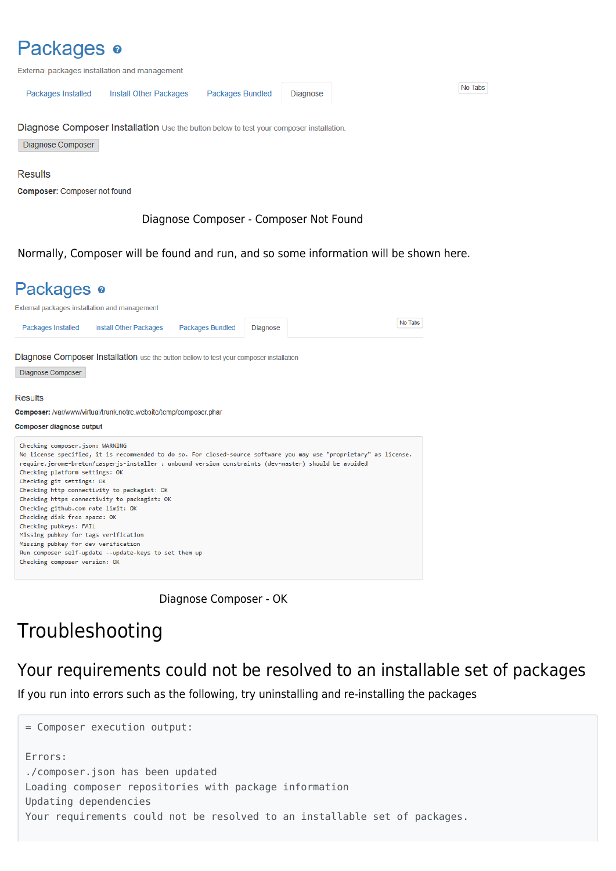### Packages o

External packages installation and management

| Packages Installed | Install Other Packages Packages Bundled | Diagnose |
|--------------------|-----------------------------------------|----------|
|                    |                                         |          |

Diagnose Composer Installation Use the button below to test your composer installation.

Diagnose Composer

#### **Results**

**Composer:** Composer not found

### Diagnose Composer - Composer Not Found

Normally, Composer will be found and run, and so some information will be shown here.



Diagnose Composer - OK

### Troubleshooting

### Your requirements could not be resolved to an installable set of packages

If you run into errors such as the following, try uninstalling and re-installing the packages

= Composer execution output: Errors: ./composer.json has been updated Loading composer repositories with package information Updating dependencies Your requirements could not be resolved to an installable set of packages.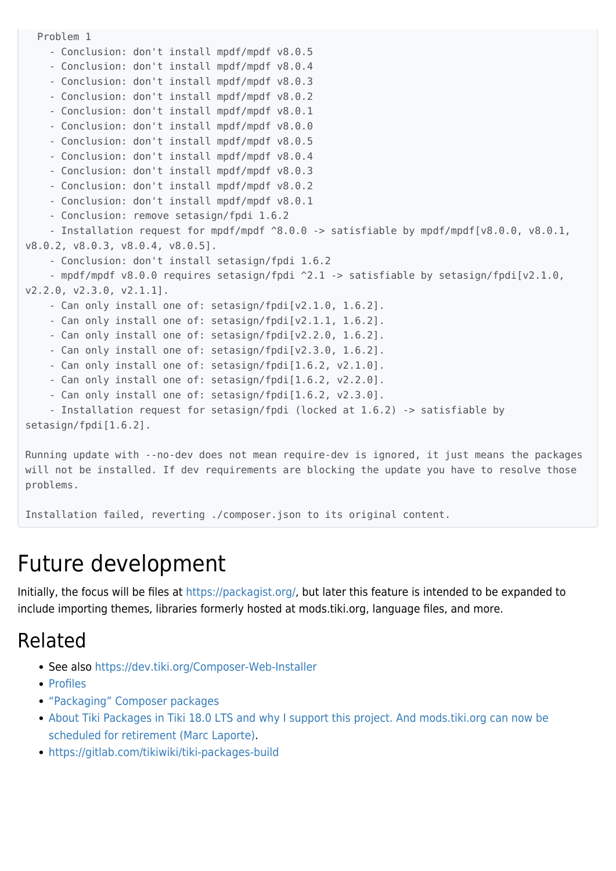```
 Problem 1
     - Conclusion: don't install mpdf/mpdf v8.0.5
     - Conclusion: don't install mpdf/mpdf v8.0.4
     - Conclusion: don't install mpdf/mpdf v8.0.3
     - Conclusion: don't install mpdf/mpdf v8.0.2
     - Conclusion: don't install mpdf/mpdf v8.0.1
     - Conclusion: don't install mpdf/mpdf v8.0.0
     - Conclusion: don't install mpdf/mpdf v8.0.5
     - Conclusion: don't install mpdf/mpdf v8.0.4
     - Conclusion: don't install mpdf/mpdf v8.0.3
     - Conclusion: don't install mpdf/mpdf v8.0.2
     - Conclusion: don't install mpdf/mpdf v8.0.1
     - Conclusion: remove setasign/fpdi 1.6.2
    - Installation request for mpdf/mpdf ^8.0.0 -> satisfiable by mpdf/mpdf[v8.0.0, v8.0.1,
v8.0.2, v8.0.3, v8.0.4, v8.0.5].
     - Conclusion: don't install setasign/fpdi 1.6.2
     - mpdf/mpdf v8.0.0 requires setasign/fpdi ^2.1 -> satisfiable by setasign/fpdi[v2.1.0,
v2.2.0, v2.3.0, v2.1.1].
     - Can only install one of: setasign/fpdi[v2.1.0, 1.6.2].
     - Can only install one of: setasign/fpdi[v2.1.1, 1.6.2].
     - Can only install one of: setasign/fpdi[v2.2.0, 1.6.2].
     - Can only install one of: setasign/fpdi[v2.3.0, 1.6.2].
     - Can only install one of: setasign/fpdi[1.6.2, v2.1.0].
     - Can only install one of: setasign/fpdi[1.6.2, v2.2.0].
     - Can only install one of: setasign/fpdi[1.6.2, v2.3.0].
     - Installation request for setasign/fpdi (locked at 1.6.2) -> satisfiable by
setasign/fpdi[1.6.2].
```
Running update with --no-dev does not mean require-dev is ignored, it just means the packages will not be installed. If dev requirements are blocking the update you have to resolve those problems.

Installation failed, reverting ./composer.json to its original content.

## Future development

Initially, the focus will be files at [https://packagist.org/,](https://packagist.org/) but later this feature is intended to be expanded to include importing themes, libraries formerly hosted at mods.tiki.org, language files, and more.

## Related

- See also <https://dev.tiki.org/Composer-Web-Installer>
- [Profiles](https://doc.tiki.org/Profiles)
- ["Packaging" Composer packages](http://dev.tiki.org/Composer%20Dependencies%20Revamp#Packaging_composer_packages)
- [About Tiki Packages in Tiki 18.0 LTS and why I support this project. And mods.tiki.org can now be](https://tiki.org/forumthread67983-About-Tiki-Packages-in-Tiki-18-0-LTS-and-why-I-support-this-project-And-mods-tiki-org-can-now-be-scheduled-for-retirement) [scheduled for retirement \(Marc Laporte\).](https://tiki.org/forumthread67983-About-Tiki-Packages-in-Tiki-18-0-LTS-and-why-I-support-this-project-And-mods-tiki-org-can-now-be-scheduled-for-retirement)
- <https://gitlab.com/tikiwiki/tiki-packages-build>